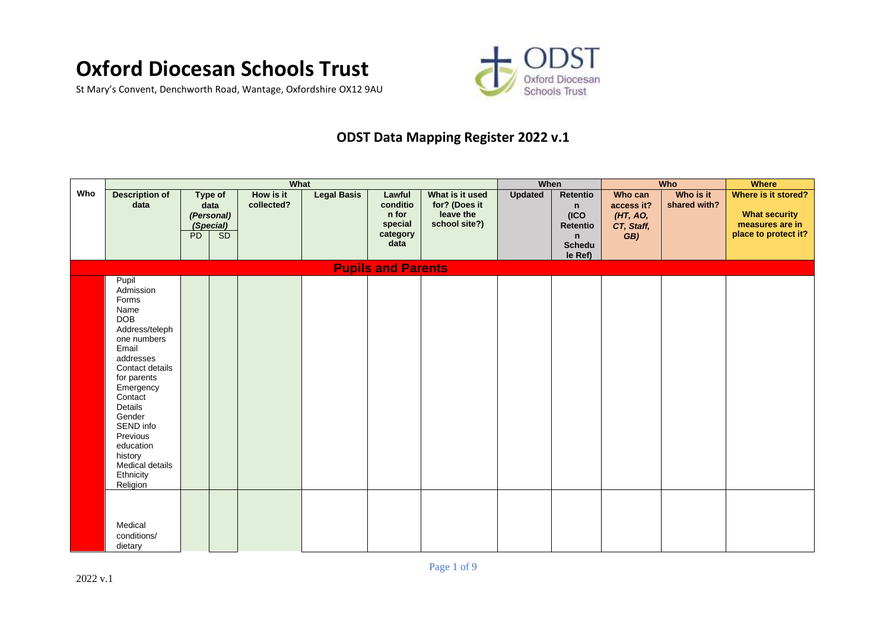## **Oxford Diocesan Schools Trust**

St Mary's Convent, Denchworth Road, Wantage, Oxfordshire OX12 9AU



## **ODST Data Mapping Register 2022 v.1**

|     |                                                                                                                                                                                                                                                                                      |                                                                |    | What                    |                    |                                                            |                                                                | When           |                                                          |                                                        | Who                       | <b>Where</b>                                                                           |
|-----|--------------------------------------------------------------------------------------------------------------------------------------------------------------------------------------------------------------------------------------------------------------------------------------|----------------------------------------------------------------|----|-------------------------|--------------------|------------------------------------------------------------|----------------------------------------------------------------|----------------|----------------------------------------------------------|--------------------------------------------------------|---------------------------|----------------------------------------------------------------------------------------|
| Who | <b>Description of</b><br>data                                                                                                                                                                                                                                                        | <b>Type of</b><br>data<br>(Personal)<br>(Special)<br><b>PD</b> | SD | How is it<br>collected? | <b>Legal Basis</b> | Lawful<br>conditio<br>n for<br>special<br>category<br>data | What is it used<br>for? (Does it<br>leave the<br>school site?) | <b>Updated</b> | Retentio<br>n<br>(ICO)<br>Retentio<br>n<br><b>Schedu</b> | Who can<br>access it?<br>(HT, AO,<br>CT, Staff,<br>GB) | Who is it<br>shared with? | Where is it stored?<br><b>What security</b><br>measures are in<br>place to protect it? |
|     |                                                                                                                                                                                                                                                                                      |                                                                |    |                         |                    |                                                            |                                                                |                | le Ref)                                                  |                                                        |                           |                                                                                        |
|     |                                                                                                                                                                                                                                                                                      |                                                                |    |                         |                    | <b>Pupils and Parents</b>                                  |                                                                |                |                                                          |                                                        |                           |                                                                                        |
|     | Pupil<br>Admission<br>Forms<br>Name<br><b>DOB</b><br>Address/teleph<br>one numbers<br>Email<br>addresses<br>Contact details<br>for parents<br>Emergency<br>Contact<br>Details<br>Gender<br>SEND info<br>Previous<br>education<br>history<br>Medical details<br>Ethnicity<br>Religion |                                                                |    |                         |                    |                                                            |                                                                |                |                                                          |                                                        |                           |                                                                                        |
|     | Medical<br>conditions/<br>dietary                                                                                                                                                                                                                                                    |                                                                |    |                         |                    |                                                            |                                                                |                |                                                          |                                                        |                           |                                                                                        |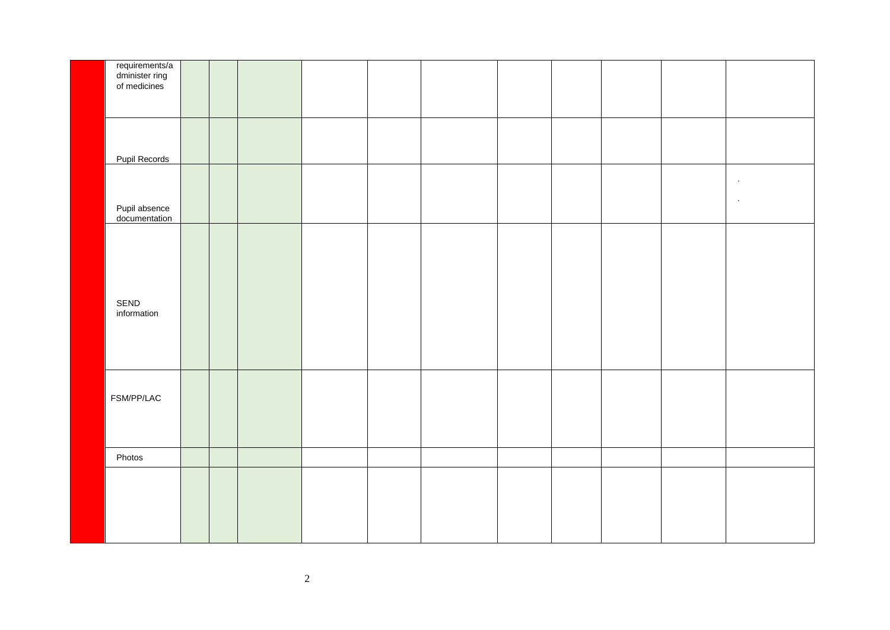| requirements/a<br>dminister ring<br>of medicines |  |  |  |  |  |        |
|--------------------------------------------------|--|--|--|--|--|--------|
|                                                  |  |  |  |  |  |        |
|                                                  |  |  |  |  |  |        |
| Pupil Records                                    |  |  |  |  |  |        |
|                                                  |  |  |  |  |  | $\sim$ |
| Pupil absence<br>documentation                   |  |  |  |  |  | $\sim$ |
|                                                  |  |  |  |  |  |        |
|                                                  |  |  |  |  |  |        |
|                                                  |  |  |  |  |  |        |
| SEND<br>information                              |  |  |  |  |  |        |
|                                                  |  |  |  |  |  |        |
|                                                  |  |  |  |  |  |        |
|                                                  |  |  |  |  |  |        |
| FSM/PP/LAC                                       |  |  |  |  |  |        |
|                                                  |  |  |  |  |  |        |
|                                                  |  |  |  |  |  |        |
| Photos                                           |  |  |  |  |  |        |
|                                                  |  |  |  |  |  |        |
|                                                  |  |  |  |  |  |        |
|                                                  |  |  |  |  |  |        |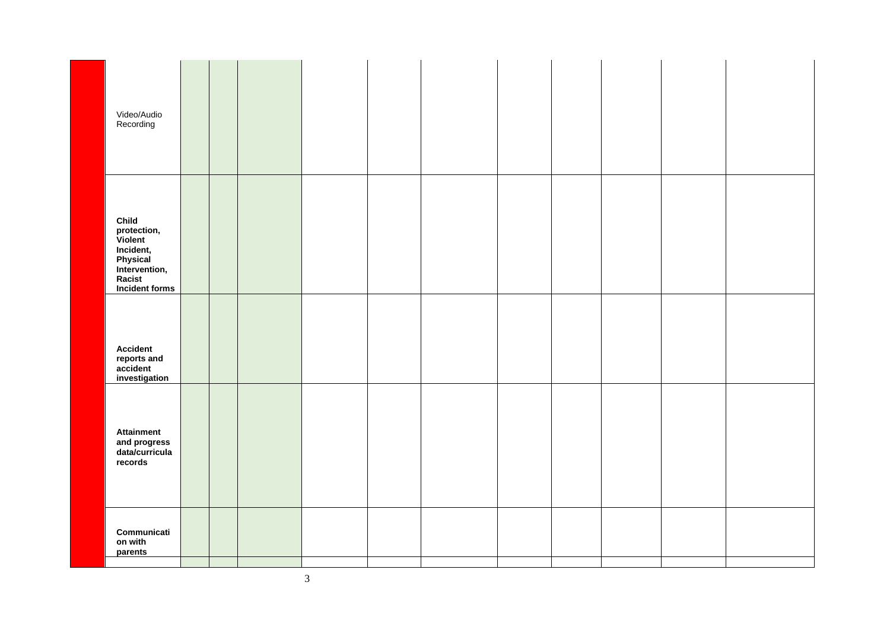| Video/Audio<br>Recording                                                                                     |  |  |  |  |  |  |
|--------------------------------------------------------------------------------------------------------------|--|--|--|--|--|--|
| Child<br>protection,<br>Violent<br>Incident,<br>Physical<br>Intervention,<br>Racist<br><b>Incident forms</b> |  |  |  |  |  |  |
| <b>Accident</b><br>reports and<br>accident<br>investigation                                                  |  |  |  |  |  |  |
| <b>Attainment</b><br>and progress<br>data/curricula<br>records                                               |  |  |  |  |  |  |
| Communicati<br>on with<br>parents                                                                            |  |  |  |  |  |  |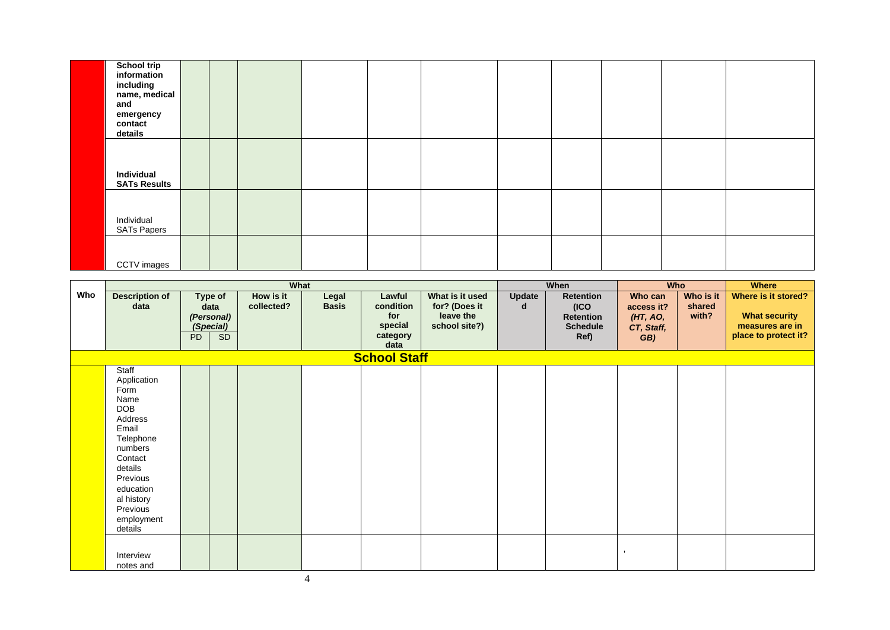| <b>School trip</b><br>information<br>including<br>name, medical<br>and<br>emergency<br>contact<br>details |  |  |  |  |  |  |
|-----------------------------------------------------------------------------------------------------------|--|--|--|--|--|--|
| Individual<br><b>SATs Results</b>                                                                         |  |  |  |  |  |  |
| Individual<br><b>SATs Papers</b>                                                                          |  |  |  |  |  |  |
| CCTV images                                                                                               |  |  |  |  |  |  |

|     |                                                                                                                                                                                                  |           |                                                         | What                    |                       |                                                           |                                                                |             | <b>When</b>                                                       |                                                        | <b>Who</b>                   | <b>Where</b>                                                                           |
|-----|--------------------------------------------------------------------------------------------------------------------------------------------------------------------------------------------------|-----------|---------------------------------------------------------|-------------------------|-----------------------|-----------------------------------------------------------|----------------------------------------------------------------|-------------|-------------------------------------------------------------------|--------------------------------------------------------|------------------------------|----------------------------------------------------------------------------------------|
| Who | <b>Description of</b><br>data                                                                                                                                                                    | <b>PD</b> | Type of<br>data<br>(Personal)<br>(Special)<br><b>SD</b> | How is it<br>collected? | Legal<br><b>Basis</b> | Lawful<br>condition<br>for<br>special<br>category<br>data | What is it used<br>for? (Does it<br>leave the<br>school site?) | Update<br>d | Retention<br>(ICO)<br><b>Retention</b><br><b>Schedule</b><br>Ref) | Who can<br>access it?<br>(HT, AO,<br>CT, Staff,<br>GB) | Who is it<br>shared<br>with? | Where is it stored?<br><b>What security</b><br>measures are in<br>place to protect it? |
|     |                                                                                                                                                                                                  |           |                                                         |                         |                       | <b>School Staff</b>                                       |                                                                |             |                                                                   |                                                        |                              |                                                                                        |
|     | Staff<br>Application<br>Form<br>Name<br><b>DOB</b><br>Address<br>Email<br>Telephone<br>numbers<br>Contact<br>details<br>Previous<br>education<br>al history<br>Previous<br>employment<br>details |           |                                                         |                         |                       |                                                           |                                                                |             |                                                                   |                                                        |                              |                                                                                        |
|     | Interview<br>notes and                                                                                                                                                                           |           |                                                         |                         |                       |                                                           |                                                                |             |                                                                   |                                                        |                              |                                                                                        |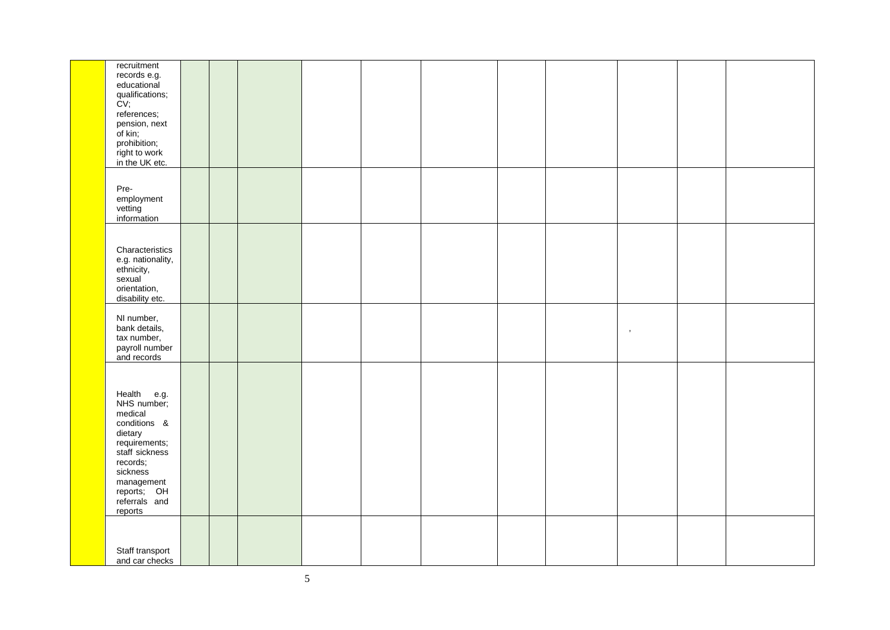| recruitment<br>records e.g.<br>educational<br>qualifications;<br>CV;<br>references;<br>pension, next<br>of kin;<br>prohibition;<br>right to work<br>in the UK etc.                   |  |  |  |  |      |  |
|--------------------------------------------------------------------------------------------------------------------------------------------------------------------------------------|--|--|--|--|------|--|
| Pre-<br>employment<br>vetting<br>information                                                                                                                                         |  |  |  |  |      |  |
| Characteristics<br>e.g. nationality,<br>ethnicity,<br>sexual<br>orientation,<br>disability etc.                                                                                      |  |  |  |  |      |  |
| NI number,<br>bank details,<br>tax number,<br>payroll number<br>and records                                                                                                          |  |  |  |  | $\,$ |  |
| Health e.g.<br>NHS number;<br>medical<br>conditions &<br>dietary<br>requirements;<br>staff sickness<br>records;<br>sickness<br>management<br>reports; OH<br>referrals and<br>reports |  |  |  |  |      |  |
| Staff transport<br>and car checks                                                                                                                                                    |  |  |  |  |      |  |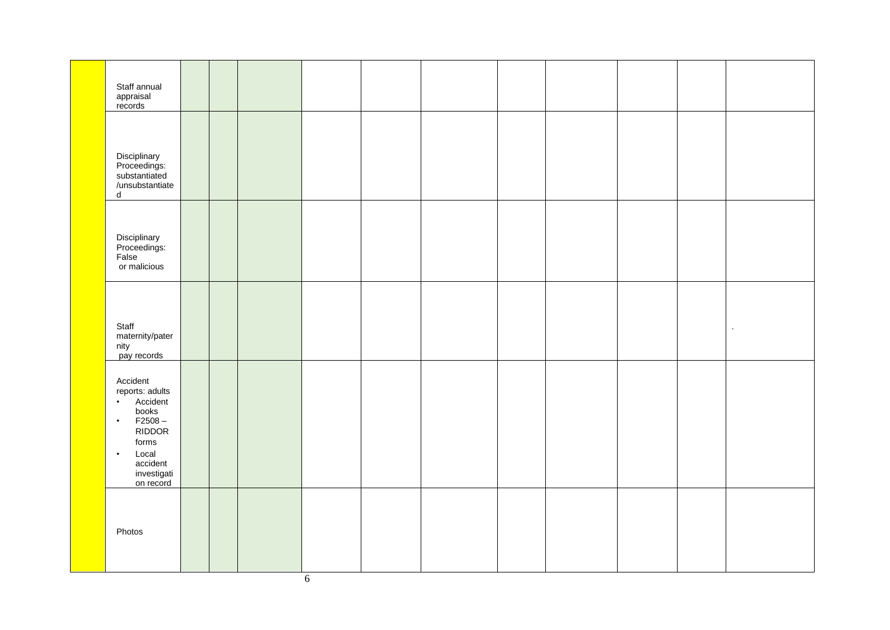| Staff annual<br>appraisal<br>records                                                                                                                                            |  |  |  |  |  |        |
|---------------------------------------------------------------------------------------------------------------------------------------------------------------------------------|--|--|--|--|--|--------|
| Disciplinary<br>Proceedings:<br>substantiated<br>/unsubstantiate<br>${\sf d}$                                                                                                   |  |  |  |  |  |        |
| Disciplinary<br>Proceedings:<br>False<br>or malicious                                                                                                                           |  |  |  |  |  |        |
| Staff<br>maternity/pater<br>nity<br>pay records                                                                                                                                 |  |  |  |  |  | $\sim$ |
| Accident<br>reports: adults<br>Accident<br>books<br>$\bullet$<br>$F2508 -$<br>$\bullet$<br><b>RIDDOR</b><br>forms<br>Local<br>$\bullet$<br>accident<br>investigati<br>on record |  |  |  |  |  |        |
| Photos                                                                                                                                                                          |  |  |  |  |  |        |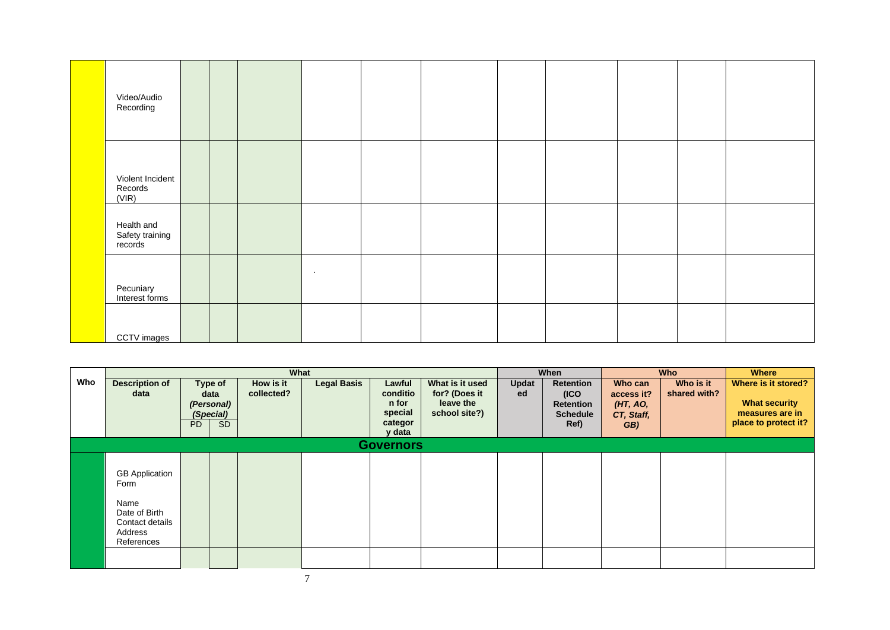| Video/Audio<br>Recording                 |  |        |  |  |  |  |
|------------------------------------------|--|--------|--|--|--|--|
| Violent Incident<br>Records<br>(VIR)     |  |        |  |  |  |  |
| Health and<br>Safety training<br>records |  |        |  |  |  |  |
| Pecuniary<br>Interest forms              |  | $\sim$ |  |  |  |  |
| CCTV images                              |  |        |  |  |  |  |

|     |                                                                                                    |    |                                            | What                    |                    |                                        |                                                                |             | When                                                     |                                                 | <b>Who</b>                | <b>Where</b>                                                   |
|-----|----------------------------------------------------------------------------------------------------|----|--------------------------------------------|-------------------------|--------------------|----------------------------------------|----------------------------------------------------------------|-------------|----------------------------------------------------------|-------------------------------------------------|---------------------------|----------------------------------------------------------------|
| Who | <b>Description of</b><br>data                                                                      |    | Type of<br>data<br>(Personal)<br>(Special) | How is it<br>collected? | <b>Legal Basis</b> | Lawful<br>conditio<br>n for<br>special | What is it used<br>for? (Does it<br>leave the<br>school site?) | Updat<br>ed | Retention<br>(ICO<br><b>Retention</b><br><b>Schedule</b> | Who can<br>access it?<br>(HT, AO,<br>CT, Staff, | Who is it<br>shared with? | Where is it stored?<br><b>What security</b><br>measures are in |
|     |                                                                                                    | PD | <b>SD</b>                                  |                         |                    | categor<br>y data                      |                                                                |             | Ref)                                                     | GB)                                             |                           | place to protect it?                                           |
|     |                                                                                                    |    |                                            |                         |                    | <b>Governors</b>                       |                                                                |             |                                                          |                                                 |                           |                                                                |
|     | <b>GB</b> Application<br>Form<br>Name<br>Date of Birth<br>Contact details<br>Address<br>References |    |                                            |                         |                    |                                        |                                                                |             |                                                          |                                                 |                           |                                                                |

7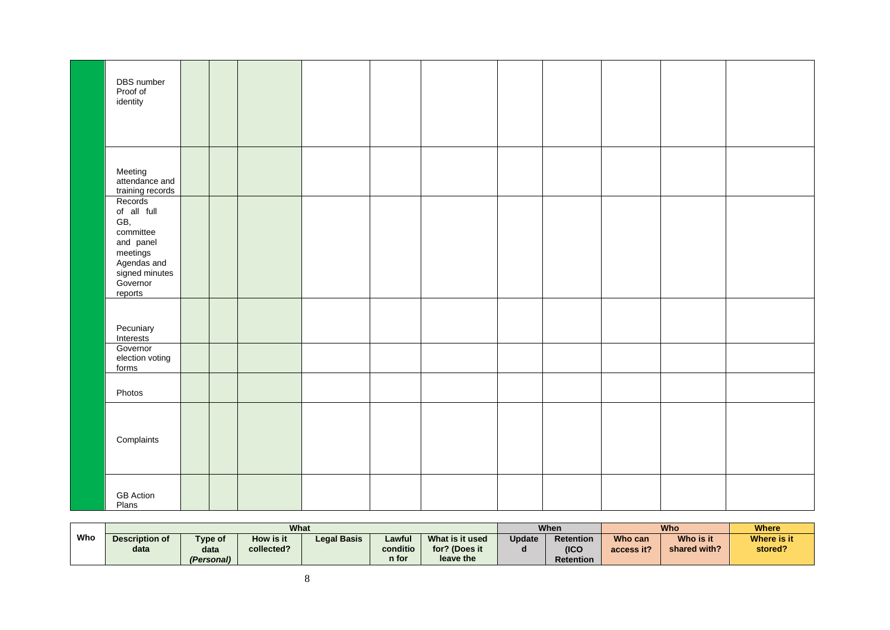| DBS number<br>Proof of<br>identity                                                                                          |  |  |  |  |  |  |
|-----------------------------------------------------------------------------------------------------------------------------|--|--|--|--|--|--|
| Meeting<br>attendance and<br>training records                                                                               |  |  |  |  |  |  |
| Records<br>of all full<br>GB,<br>committee<br>and panel<br>meetings<br>Agendas and<br>signed minutes<br>Governor<br>reports |  |  |  |  |  |  |
| Pecuniary<br>Interests                                                                                                      |  |  |  |  |  |  |
| Governor<br>election voting<br>forms                                                                                        |  |  |  |  |  |  |
| Photos                                                                                                                      |  |  |  |  |  |  |
| Complaints                                                                                                                  |  |  |  |  |  |  |
| <b>GB</b> Action<br>Plans                                                                                                   |  |  |  |  |  |  |

|     |                |            | What       |                    |          |                  |                | When             |             | <b>Who</b>   | Where   |
|-----|----------------|------------|------------|--------------------|----------|------------------|----------------|------------------|-------------|--------------|---------|
| Who | Description of | Type of    | How is it  | <b>Legal Basis</b> | Update   | <b>Retention</b> | <b>Who can</b> | Who is it        | Where is it |              |         |
|     | data           | data       | collected? |                    | conditio | for? (Does it    |                | (ICC)            | access it?  | shared with? | stored? |
|     |                | (Personal) |            |                    | n for    | leave the        |                | <b>Retention</b> |             |              |         |